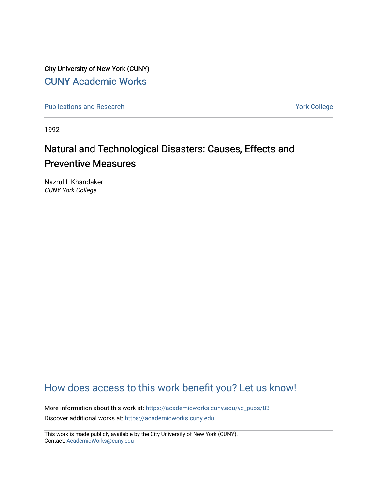City University of New York (CUNY) [CUNY Academic Works](https://academicworks.cuny.edu/) 

[Publications and Research](https://academicworks.cuny.edu/yc_pubs) Theorem 2012 Contract College Vork College

1992

# Natural and Technological Disasters: Causes, Effects and **Preventive Measures**

Nazrul I. Khandaker CUNY York College

# [How does access to this work benefit you? Let us know!](http://ols.cuny.edu/academicworks/?ref=https://academicworks.cuny.edu/yc_pubs/83)

More information about this work at: [https://academicworks.cuny.edu/yc\\_pubs/83](https://academicworks.cuny.edu/yc_pubs/83)  Discover additional works at: [https://academicworks.cuny.edu](https://academicworks.cuny.edu/?)

This work is made publicly available by the City University of New York (CUNY). Contact: [AcademicWorks@cuny.edu](mailto:AcademicWorks@cuny.edu)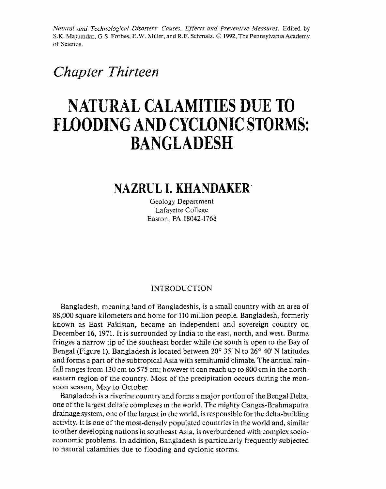*Natural and Technological Disasters<sup>.</sup> Causes, Effects and Preventive Measures.* Edited by S.K. Majumdar, G.S. Forbes, E.W. Miller, and R.F. Schmalz. © 1992, The Pennsylvania Academy of Science.

# *Chapter Thirteen*

# **NATURAL CALAMITIES DUE TO FLOODING AND CYCLONIC STORMS: BANGLADESH**

# **NAZRUL I. KHANDAKER·**

Geology Department Lafayette College Easton, PA 18042-1768

# INTRODUCTION

Bangladesh, meaning land of Bangladeshis, is a small country with an area of 88,000 square kilometers and home for 110 million people. Bangladesh, formerly known as East Pakistan, became an independent and sovereign country on December 16, 1971. It is surrounded by India to the east, north, and west. Burma fringes a narrow tip of the southeast border while the south is open to the Bay of Bengal (Figure 1). Bangladesh is located between 20° 35' N to 26° 40' N latitudes and forms a part of the subtropical Asia with semihumid climate. The annual rainfall ranges from 130 cm to 575 cm; however it can reach up to 800 cm in the northeastern region of the country. Most of the precipitation occurs during the monsoon season, May to October.

Bangladesh is a riverine country and forms a major portion of the Bengal Delta, one of the largest deltaic complexes m the world. The mighty Ganges-Brahmaputra drainage system, one of the largest in the world, is responsible for the delta-building activity. It is one of the most-densely populated countries in the world and, similar to other developing nations in southeast Asia, is overburdened with complex socioeconomic problems. In addition, Bangladesh is particularly frequently subjected to natural calamities due to flooding and cyclonic storms.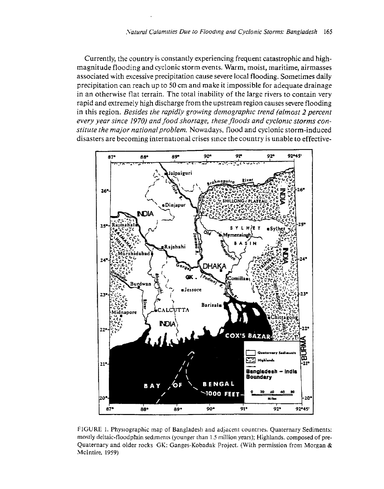Currently, the country is constantly experiencing frequent catastrophic and high· magnitude flooding and cyclonic storm events. Warm, moist, maritime, airmasses associated with excessive precipitation cause severe local flooding. Sometimes daily precipitation can reach up to 50 cm and make it impossible for adequate drainage in an otherwise flat terrain. The total inability of the large rivers to contain very rapid and extremely high discharge from the upstream region causes severe flooding in this region. *Besides the rapidly growing demographic trend (almost 2 percent every year since 1970) and food shortage, these floods and cyclonic storms constitute the major national problem.* Nowadays, flood and cyclonic storm~induced disasters are becoming international crises since the country is unable to effective-



FIGURE 1. Physiographic map of Bangladesh and adjacent countries. Quaternary Sediments: mostly deltaic-floodplain sediments (younger than 1.5 million years); Highlands. composed of pre-Quaternary and older rocks GK: Ganges-Kobadak Project. (With permission from Morgan & Mcintire, 1959)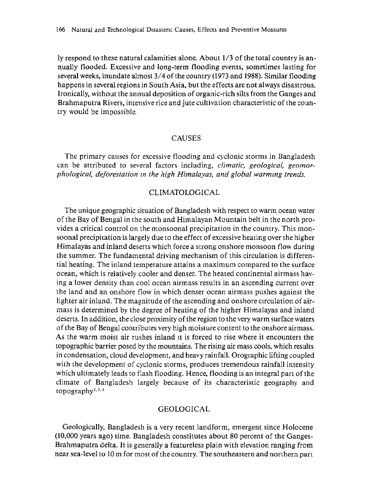ly respond to these natural calamities alone. About 1/3 of the total country is annually flooded. Excessive and long-term flooding events, sometimes lasting for several weeks, inundate almost 3/4 of the country (1973 and 1988). Similar flooding happens in several regions in South Asia, but the effects are not always disastrous. Ironically, without the annual deposition of organic-rich silts from the Ganges and Brahmaputra Rivers, intensive rice and jute cultivation characteristic of the country would be impossible.

## **CAUSES**

The primary causes for excessive flooding and cyclonic storms in Bangladesh can be attributed to several factors including, *climatic, geological, geomorphological, deforestation m the high Himalayas, and global warmmg trends.* 

# CLIMATOLOGICAL

The unique geographic situation of Bangladesh with respect to warm ocean water of the Bay of Bengal in the south and Himalayan Mountain belt in the north provides a critical control on the monsoonal precipitation in the country. This monsoonal precipitation is largely due to the effect of excessive heating over the higher Himalayas and inland deserts which force a strong onshore monsoon flow during the summer. The fundamental driving mechanism of this circulation is differential heating. The inland temperature attains a maximum compared to the surface ocean, which is relatively cooler and denser. The heated continental airmass having a lower density than cool ocean airmass results in an ascending current over the land and an onshore flow in which denser ocean airmass pushes against the lighter air inland. The magnitude of the ascending and onshore circulation of airmass is determined by the degree of heating of the higher Himalayas and inland deserts. In addition, the close proximity of the region to the very warm surface waters of the Bay of Bengal contributes very high moisture content to the onshore airmass. As the warm moist air rushes inland it is forced to rise where it encounters the topographic barrier posed by the mountains. The rising air mass cools, which results in condensation, cloud development, and heavy rainfall. Orographic lifting coupled with the development of cyclonic storms, produces tremendous rainfall intensity which ultimately leads to flash flooding. Hence, flooding is an integral part of the climate of Bangladesh largely because of its characteristic geography and topography<sup>2, 3, 4</sup>

# GEOLOGICAL

Geologically, Bangladesh is a very recent landform, emergent since Holocene (10,000 years ago) time. Bangladesh constitutes about 80 percent of the Ganges-Brahmaputra delta. It is generally a featureless plain with elevation ranging from near sea-level to 10 m for most of the country. The southeastern and northern part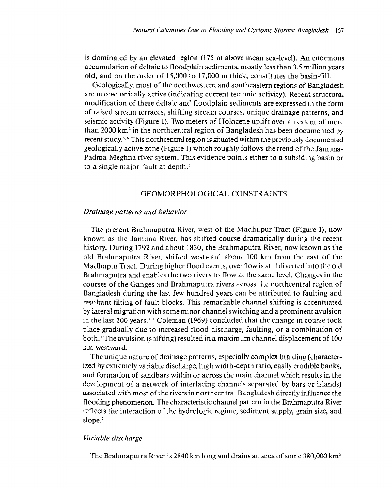is dominated by an elevated region (175 m above mean sea-level). An enormous accumulation of deltaic to floodplain sediments, mostly less than 3.5 million years old, and on the order of  $15,000$  to  $17,000$  m thick, constitutes the basin-fill.

Geologically, most of the northwestern and southeastern regions of Bangladesh are neotectonically active (indicating current tectonic activity). Recent structural modification of these deltaic and floodplain sediments are expressed in the form of raised stream terraces, shifting stream courses, unique drainage patterns, and seismic activity (Figure 1), Two meters of Holocene uplift over an extent of more than 2000 km<sup>2</sup> in the northcentral region of Bangladesh has been documented by recent study. 5 • 6 This northcentral region is situated within the previously documented geologically active zone (Figure 1) which roughly follows the trend of the Jamuna-Padma-Meghna river sysrem. This evidence poims either to a subsiding basin or to a single major fault at depth. *<sup>5</sup>*

# GEOMORPHOLOGICAL CONSTRAINTS

#### *Drainage patterns and behavior*

The present Brahmaputra River, west of the Madhupur Tract (Figure 1). now known as the Jamuna River, has shifted course dramatically during the recent history. During 1792 and about 1830, the Brahmaputra River, now known as the old Brahmaputra River, shifted westward about 100 km from the east of the Madhupur Tract. During higher flood events, overflow is still diverted into the old Brahmaputra and enables the two rivers to flow at the same level. Changes in the courses of the Ganges and Brahmaputra rivers across the northcentral region of Bangladesh during the last few hundred years can be attributed to faulting and resultant tilting of fault blocks. This remarkable channel shifting is accentuated by lateral migration with some minor channel switching and a prominent avulsion m the last 200 years.;· 7 Coleman (1969) concluded that the change in course took place gradually due to increased flood discharge, faulting, or a combination of both. 8 The avulsion (shifting) resulted in a maxim um channel displacement of 100 km westward.

The unique nature of drainage patterns, especially complex braiding (characterized by extremely variable discharge, high width-depth ratio, easily erodible banks, and formation of sandbars within or across the main channel which results in the development of a network of interlacing channels separated by bars or islands) associated with most of the rivers in northcentral Bangladesh directly influence the flooding phenomenon. The characteristic channel pattern in the Brahmaputra River reflects the interaction of the hydrologic regime, sediment supply, grain size, and slope.<sup>9</sup>

#### *Variable discharge*

The Brahmaputra River is 2840 km long and drains an area of some 380,000 km<sup>2</sup>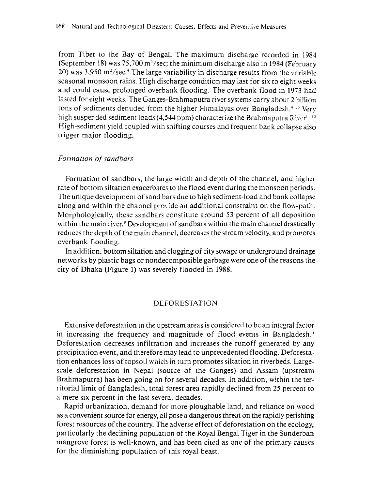from Tibet to the Bay of Bengal. The maximum discharge recorded in 1984 (September 18) was  $75,700$  m<sup>3</sup>/sec; the minimum discharge also in 1984 (February 20) was 3,950 m<sup>3</sup>/sec.<sup>9</sup> The large variability in discharge results from the variable seasonal monsoon rains. High discharge condition may last for six to eight weeks and could cause pro!onged overbank flooding. The overbank flood in 1973 had lasted for eight weeks. The Ganges-Brahmaputra river systems carry about 2 billion tons of sediments denuded from the higher Himalayas over Bangladesh." ' 8 Very high suspended sediment loads (4,544 ppm) characterize the Brahmaputra River $^{\scriptscriptstyle (1112)}$ High-sediment yield coupled with shifting courses and frequent bank collaose also trigger major flooding.

#### *Formation of sandbars*

Formation of sandbars, the large width and depth of the channel, and higher rate of bottom siltation exacerbates to the flood event during the monsoon periods. The unique developmenr of sand bars due t0 high sediment-load and bank collapse along and within the channel provide an additional constraint on the flow-path. Morphologically, these sandbars constitute around 53 percent of all deposition within the main river.<sup>9</sup> Development of sandbars within the main channel drastically reduces the depth of the main channel, decreases the stream velocity, and promotes overbank flooding.

In addition, bottom siltation and clogging of city sewage or underground drainage networks by plastic bags or nondecomposible garbage were one of the reasons the city of Dhaka (Figure 1) was severely flooded in 1988.

# DEFORESTATION

Extensive deforestation in the upstream areas is considered to be an integral factor in increasing the frequency and magnitude of flood events in Bangladesh.<sup>11</sup> Deforestation decreases infiltration and increases the runoff generated by any precipitation event, and therefore may lead to unprecedented flooding. Deforestation enhances loss of topsoil which in turn promotes siltation in riverbeds. Largescale deforestation in Nepal (source of the Ganges) and Assam (upstream Brahmaputra) has been going on for several decades. In addition, within the territorial limit of Bangladesh, total forest area rapidly declined from 25 percent to a mere six percent in the last several decades.

Rapid urbanization, demand for more ploughable land, and reliance on wood as a convenient source for energy, all pose a dangerous threat on the rapidly perishing forest resources of the country. The adverse effect of deforestation on the ecology, particularly the declining population of the Royal Bengal Tiger in the Sunderban mangrove forest is well-known, and has been ciced as one of the primary causes for the diminishing population of this royal beast.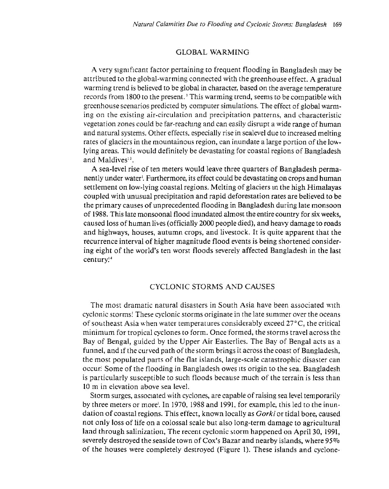## GLOBAL WARMING

A very significant factor pertaining to frequent flooding in Bangladesh may be attributed to the global-warming connected with the greenhouse effect. A gradual warming trend is believed to be global in character, based on the average temperature records from 1800 to the present.' This warming trend, seems to be compatible with greenhouse scenarios predicted b) computer simulations. The effect of global warming on the existing air-circulation and precipitation patterns, and characteristic vegetation zones could be far-reaching and can easily disrupt a wide range of human and natural systems. Other effecrs. especially rise in sealevel due to increased melting rates of glaciers in the mountainous region, can inundate a large portion of the lowlying areas. This would definitely be devastating for coastal regions of Bangladesh and Maldives<sup>13</sup>.

A sea-level rise of ten meters would leave three quarters of Bangladesh permanently under water'. Furthermore, its effect could be devastating on crops and human settlement on low-lying coastal regions. Melting of glaciers m the high Himalayas coupled with unusual precipitation and rapid deforestation rates are believed to be the primary causes of unprecedented flooding in Bangladesh during late monsoon of 1988. This late monsoonal flood inundated almost the entire country for six weeks, caused loss of human lives (officially 2000 people died), and heavy damage to roads and highways, houses, autumn crops, and livestock. It is quite apparent that the recurrence interval of higher magnitude flood events is being shortened considering eight of the world's ten worst floods severely affected Bangladesh in the last century.<sup>14</sup>

## CYCLONIC STORMS AND CAUSES

The most dramatic natural disasters in South Asia have been associated with cyclonic storms: These cyclonic storms originate in the late summer over the oceans of southeast Asia when water temperatures considerably exceed 27°C, the critical minimum for tropical cyclones to form. Once formed, the storms travel across the Bay of Bengal, guided by the Upper Air Easterlies. The Bay of Bengal acts as a funnel, and if the curved path of the storm brings it across the coast of Bangladesh, the most populated parts of the flat islands, large-scale catastrophic disaster can occur! Some of the flooding in Bangladesh owes Its origin to the sea. Bangladesh is particularly susceptible to such floods because much of the terrain is less than 10 m in elevation above sea level.

Storm surges, associated with cyclones, are capable of raising sea level temporarily by three meters or more<sup>.</sup>. In 1970, 1988 and 1991, for example, this led to the inundation of coastal regions. This effect, known locally as Gorki or tidal bore, caused not only loss of life on a colossal scale but also long-term damage to agricultural laad through salinization, The recent cyclonic storm happened on April 30, 1991, severely destroyed the seaside town of Cox's Bazar and nearby islands, where 95% of the houses were completely destroyed (Figure l}. These islands and cyclone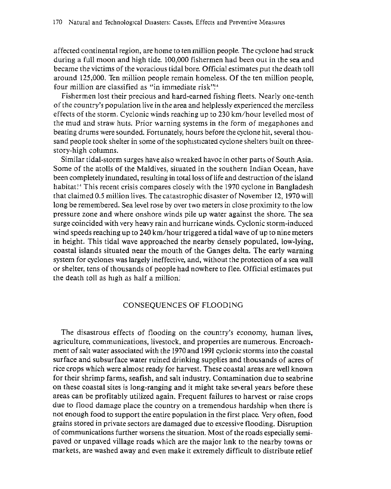affected continental region, are home to ten million people. The cyclone had struck during a full moon and high tide. 100,000 fishermen had been out in the sea and became the victims of the voracious tidal bore. Official estimates put the death toll around 125,000. Ten million people remain homeless. Of the ten million people, four million are classified as "in immediate risk"!<sup>4</sup>

Fishermen lost their precious and hard-earned fishing fleets. Nearly one-tenth of the country's population live in che area and helplessly experienced the merciless effects of the storm. Cyclonic winds reaching up to 230 km/hour levelled most of the mud and straw huts. Prior warning systems in the form of megaphones and beating drums were sounded. Fortunately, hours before the cyclone hit, several thousand people took shelter in some of the sophisticated cyclone shelters built on threestory-high columns.

Similar tidal-storm surges have also wreaked havoc in other parts of South Asia. Some of the atolls of the Maldives, situated in the southern Indian Ocean, have been completely inundated, resulting in total loss of life and destruction of the island habitat!<sup>4</sup> This recent crisis compares closely with the 1970 cyclone in Bangladesh that claimed 0.5 million lives. The catastrophic disaster of November 12, 1970 will long be remembered. Sea level rose by over two meters in close proximity to the low pressure zone and where onshore winds pile up water against the shore. The sea surge coincided with very heavy rain and hurricane winds. Cyclonic storm-induced wind speeds reaching up to 240 km/hour triggered a tidal wave of up to nine meters in height. This tidal wave approached the nearby densely populated, low-lying, coastal islands situated near the mouth of the Ganges delta. The early warning system for cyclones was largely ineffective, and, without the protection of a sea wall or shelter, tens of thousands of people had nowhere to flee. Official estimates put the death toll as high as half a million!

# CONSEQUENCES OF FLOODING

The disastrous effects of flooding on the country's economy, human lives, agriculture, communications, livestock, and properties are numerous. Encroachment of salt water associated with the 1970 and 1991 cyclonic storms into the coastal surface and subsurface water ruined drinking supplies and thousands of acres of rice crops which were almost ready for harvest. These coastal areas are well known for their shrimp farms, seafish, and salt industry. Contamination due to seabrine on these coastal sites is long-ranging and it might take several years before these. areas can be profitably utilized again. Frequent failures to harvest or raise crops due to flood damage place the country on a tremendous hardship when there is not enough food to support the entire population in the first place. Very often, food grains stored in private sectors are damaged due to excessive flooding. Disruption of communications further worsens the situation. Most of the roads especially semipaved or unpaved village roads which are the major hnk to the nearby towns or markets, are washed away and even make it extremely difficult to distribute relief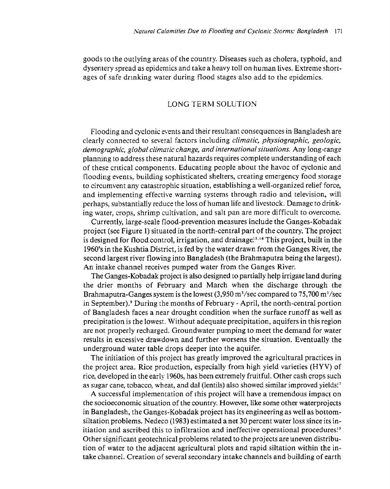goods *w* rhe omlying areas of the country. Diseases such as cholera, typhoid, and dysentery spread as epidemics and take a heavy toll on human lives. Extreme shortages of safe dnnking water during flood stages also add to the epidemics.

# LONG TERM SOLUTION

Flooding and cyclonic events and their resultant consequences in Bangladesh are clearly connected to several factors including *climatic, physiographic, geologic, demographic, global climatic change, and international situations.* Any long-range planning to address these natural hazards requires complete understanding of each of these cmical componems. Educating people about the havoc of cyclonic and flooding events, building sophisticated shelters, creating emergency food storage to circumvent any catastrophic situation, establishing a well-organized relief force, and implementing effective warning systems through radio and television, will perhaps, substantially reduce the loss of human life and livestock. Damage to drinking water, crops, shrimp cultivation, and salt pan are more difficult to overcome.

Currently, large-scale flood-prevention measures include the Ganges-Kobadak project (see Figure 1) situated in the north-central part of the country. The project is designed for flood control, irrigation, and drainage<sup>15,16</sup> This project, built in the 1960's in the Kushtia District, is fed by the water drawn from the Ganges River, the second largest river flowing into Bangladesh (the Brahmaputra being the largest). An intake channel receives pumped water from the Ganges River.

The Ganges-Kobadak project is also designed to partially help irrigate land during the drier months of February and March when the discharge through the Brahmaputra-Ganges system is the lowest (3,950 m<sup>3</sup>/sec compared to 75,700 m<sup>3</sup>/sec in September). 9 During the months of February - April, the north-central portion of Bangladesh faces a near drought condition when the surface runoff as well as precipitation is the lowest. Without adequate precipitation, aquifers in this region are not properly recharged. Groundwater pumping to meet the demand for water results in excessive drawdown and further worsens the situation. Eventually the underground water table drops deeper into the aquifer.

The initiation of this project has greatly improved the agricultural practices in the project area. Rice production, especially from high yield varieties (HYV) of rice, developed in the early 1960s, has been extremely fruitful. Other cash crops such as sugar cane, tobacco, wheat, and dal (lentils) also showed similar improved yields!<sup>7</sup>

A successful implememarion of rhis project will have a rremendous impacr on the socioeconomic situation of the country. However, like some other waterprojects in Bangladesh, the Ganges-Kobadak project has its engineering as well as bottomsiltation problems. Nedeco (1983) estimated a net 30 percent water loss since its initiation and ascribed this to infiltration and ineffective operational procedures! *s*  Other significant geotechnical problems related to the projects are uneven distribution of water to the adjacent agricultural plots and rapid siltation within the intake channel. Creation of several secondary intake channels and building of earth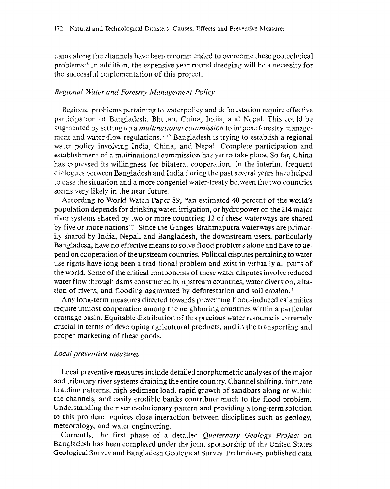dams along the channels have been recommended to overcome these geotechnical problems.<sup>3</sup> In addition, the expensive year round dredging will be a necessity for the successful implementation of this project.

#### *Regional Water and Forestry Management Policy*

Regional problems pertaining to waterpolicy and deforestation require effective participation of Bangladesh, Bhutan, China, India, and Nepal. This could be augmented by setting up a *multinational commission* to impose forestry management and water-flow regulations<sup> $13/19$ </sup> Bangladesh is trying to establish a regional water policy involving India, China, and Nepal. Complete participation and establishment of a multinational commission has yet to take place. So far, China has expressed its willingness for bilateral cooperation. In the interim, frequent dialogues between Bangladesh and India during the past several years have helped to ease the situation and a more congeniel water-treaty between the two countries seems very likely in the near future.

According to World Watch Paper 89, "an estimated 40 percent of the world's population depends for drinking water, irrigation, or hydropower on the **214** major river systems shared by two or more countries; 12 of these waterways are shared by five or more nations"! 3 Since the Ganges-Brahmaputra waterways are primarily shared by India, Nepal, and Bangladesh, the downstream users, particularly Bangladesh, have no effective means to solve flood problems alone and have to depend on cooperation of the upstream countries. Political disputes pertaining to water use rights have iong been a traditional problem and exist in virtually all parts of the world. Some of the critical components of these water disputes involve reduced water flow through dams constructed by upstream countries, water diversion, siltation of rivers, and flooding aggravated by deforestation and soil erosion!<sup>3</sup>

Any long-term measures directed towards preventing flood-induced caiamities require utmost cooperation among the neighboring countries within a particular drainage basin. Equitable distribution of this precious water resource is extremely crucial in terms of developing agricultural products, and in the transporting and proper marketing of these goods.

#### *Local preventive measures*

Local preventive measures include detailed morphometric analyses of the major and tributary river systems draining the entire country. Channel shifting, intricate braiding patterns, high sediment load, rapid growth of sandbars along or within the channels, and easily erodible banks contribute much to the flood problem. Understanding the river evolutionary pattern and providing a long-term solution to this problem requires close interaction between disciplines such as geology, meteorology, and water engineering.

Currently, the first phase of a detailed *Quaternary Geology Project* on Bangladesh has been complered under the joim sponsorship of che United Stares Geological Survey and Bangladesh Geological Survey. Prehminary published data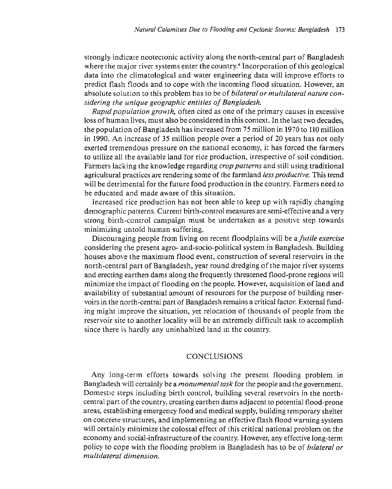strongly indicate neotectonic activity along the north-central part of Bangladesh where the major river systems enter the country. 6 Incorporation of this geological data into the climatological and water engineering data will improve efforts to predict flash floods and to cope with the incoming flood situation. However, an absolute solution to this problem has to be of *bilateral or multilateral nature considering the unique geographic entities of Bangladesh.* 

*Raptd population growth,* often cited as one of the primary causes in excessive loss of human lives, must also be considered in this context. In the last two decades, the population of Bangladesh has increased from 75 million in 1970 to 110 million in 1990. An increase of 35 million people over a period of 20 years has not only exerted tremendous pressure on the national economy, it has forced the farmers to utilize all the available land for rice production, irrespective of soil condition. Farmers lacking the knowledge regarding *crop patterns* and still using traditional agricultural practices are rendering some of the farmland *less productive.* This trend will be detrimental for the future food production in the country. Farmers need to be educated and made aware of this situation.

Increased rice production has not been able ro keep up with rapidly changing demographic patterns. Current birth-control measures are semi-effective and a very strong birth-control campaign must be undertaken as a positive step towards minimizing untold human suffering.

Discouraging people from living on recent floodplains will be a *futile exercise*  considering the present agro- and-socio-political system in Bangladesh. Building houses above the maximum flood event, construction of several reservoirs in the north-central part of Bangladesh, year round dredging of the major river systems and erecting earthen dams along the frequently threatened flood-prone regions will minimize the impact of flooding on the people. However, acquisition of land and availability of substantial amount of resources for the purpose of building reservoirs in the north-central part of Bangladesh remains a critical factor. External funding might improve the situation, yet relocation of thousands of people from the reservoir site to another locality will be an extremely difficult task to accomplish since there is hardly any uninhabited land m the country.

# CONCLUSIONS

Any long-term efforts towards sohing the present flooding problem in Bangladesh \vill certainly be a *monumental task* for the people and rhe government. Domestic steps including birth control, building several reservoirs in the northcentral part of the country, creating earthen darns adjacent to potential flood-prone areas, establishing emergency food and medical supply, building temporary shelter on concrele structures, and implementing an effective flash flood warning system will certainly minimize the colossal effect of this critical national problem on the economy and social-infrastructure of the country. However, any effective long-term policy to cope with the flooding problem in Bangladesh has to be of *bilateral or multtlateral dimension.*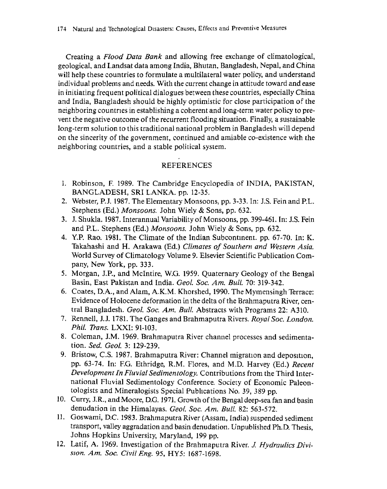Creating a *Flood Data Bank* and allowing free exchange of climatological, geological. and Landsat data among India, Bhutan. Bangladesh, Nepal, and China will help these countries to formulate a multilateral water policy, and understand individual problems and needs. With the current change in attitude toward and ease in initiating frequent political dialogues between these countries, especially China and India, Bangladesh should be highly optimistic for close participation of the neighboring countries in establishing a coherent and long-term water policy to prevent the negative outcome of the recurrent flooding situation. Finally, a sustainable long-term solution to this traditional national problem in Bangladesh will depend on the sincerity of the government, continued and amiable co-existence with the neighboring countries, and a stable political system.

# REFERENCES

- 1. Robinson, F. 1989. The Cambridge Encyclopedia of INDIA, PAKISTAN, BANGLADESH, SRI LANKA. pp. 12-35.
- 2. Webster, P.J. 1987. The Elementary Monsoons, pp. 3-33. In: J.S. Fein and P.L. Stephens {Ed.) *Monsoons.* John Wiely & Sons, pp. 632.
- 3. *1.* Shukla. 1987. Interannual Variability of Monsoons, pp. 399-461. In: J.S. Fein and P.L. Stephens (Ed.) *Monsoons.* John Wiely & Sons, pp. 632.
- 4. Y.P. Rao. 1981. The Climate of the Indian Subcontment. pp. 67-70. In: K. Takahashi and H. Arakawa (Ed.) *Climates of Southern and Western Asia.*  World Survey of Climatology Volume 9. Elsevier Scientific Publication Company, New York, pp. 333.
- 5. Morgan, J.P., and Mcintire, W.G. 1959. Quaternary Geology of the Bengal Basin, East Pakistan and India. *Geo!. Soc. Am. Bull.* 70: 319-342.
- 6. Coates, D.A., and Alam, A.K.M. Khorshed, 1990. The Mymensingh Terrace: Evidence of Holocene deformation in the delta of the Brahmaputra River, central Bangladesh. *Geo/. Soc. Am. Bull.* Abstracts with Programs 22: A310.
- 7. Rennell, J.J. 1781. The Ganges and Brahmaputra Rivers. *Royal Soc. London. Phil. Trans.* LXXI: 91-103.
- 8. Coleman, J.M. 1969. Brahmaputra River channel processes and sedimentation. *Sed. Geo!.* 3: 129-239.
- 9. Bristow, C.S. 1987. Brahmaputra River: Channel migration and deposition, pp. 63-74. In: F.G. Ethridge, R.M. Flores, and M.D. Harvey (Ed.) *Recent Development In Fluvial Sedimentology.* Contributions from the Third International Fluvial Sedimentology Conference. Sociery of Economic Paleontologists and Mineralogists Special Pubhcations No. 39, 389 pp.
- 10. Curry, J.R., and Moore, D.G. 1971. Growth of the Bengal deep-sea fan and basin denudation in the Himalayas. *Geo/. Soc. Am. Bull.* 82: 563-572.
- 11. Goswami, D.C. 1983. Brahmaputra River (Assam. India) suspended sediment transport, valley aggradation and basin denudation. Unpublished Ph.D. Thesis, Johns Hopkins University, Maryland, 199 pp.
- 12. Latif, A. 1969. Investigation of the Brahmaputra River. *1 Hydraulics Diviswn. Am. Soc. Civil Eng.* 95, HY5: 1687-1698.